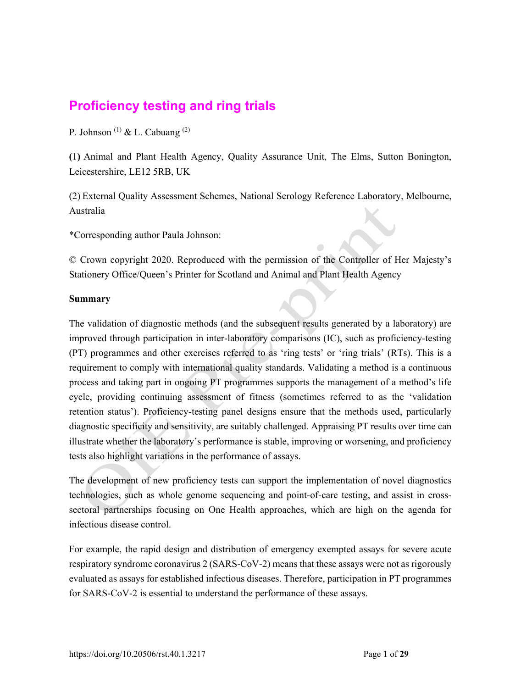# **Proficiency testing and ring trials**

P. Johnson<sup>(1)</sup> & L. Cabuang<sup>(2)</sup>

**(**1**)** Animal and Plant Health Agency, Quality Assurance Unit, The Elms, Sutton Bonington, Leicestershire, LE12 5RB, UK

(2) External Quality Assessment Schemes, National Serology Reference Laboratory, Melbourne, Australia

\*Corresponding author Paula Johnson:

© Crown copyright 2020. Reproduced with the permission of the Controller of Her Majesty's Stationery Office/Queen's Printer for Scotland and Animal and Plant Health Agency

#### **Summary**

The validation of diagnostic methods (and the subsequent results generated by a laboratory) are improved through participation in inter-laboratory comparisons (IC), such as proficiency-testing (PT) programmes and other exercises referred to as 'ring tests' or 'ring trials' (RTs). This is a requirement to comply with international quality standards. Validating a method is a continuous process and taking part in ongoing PT programmes supports the management of a method's life cycle, providing continuing assessment of fitness (sometimes referred to as the 'validation retention status'). Proficiency-testing panel designs ensure that the methods used, particularly diagnostic specificity and sensitivity, are suitably challenged. Appraising PT results over time can illustrate whether the laboratory's performance is stable, improving or worsening, and proficiency tests also highlight variations in the performance of assays.

The development of new proficiency tests can support the implementation of novel diagnostics technologies, such as whole genome sequencing and point-of-care testing, and assist in crosssectoral partnerships focusing on One Health approaches, which are high on the agenda for infectious disease control.

For example, the rapid design and distribution of emergency exempted assays for severe acute respiratory syndrome coronavirus 2 (SARS-CoV-2) means that these assays were not as rigorously evaluated as assays for established infectious diseases. Therefore, participation in PT programmes for SARS-CoV-2 is essential to understand the performance of these assays.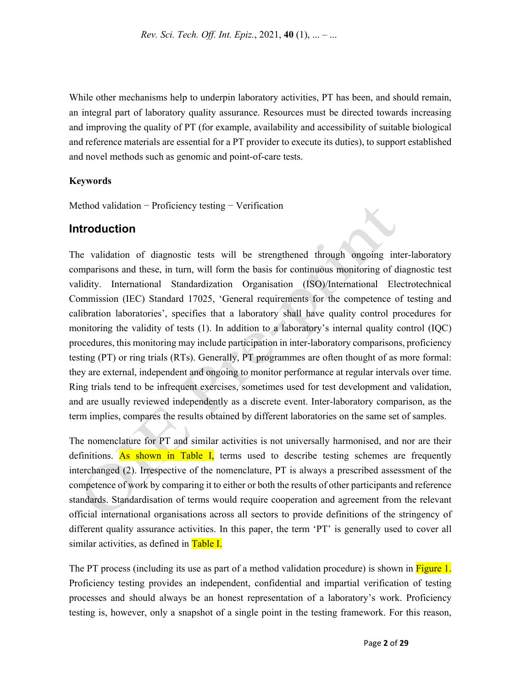While other mechanisms help to underpin laboratory activities, PT has been, and should remain, an integral part of laboratory quality assurance. Resources must be directed towards increasing and improving the quality of PT (for example, availability and accessibility of suitable biological and reference materials are essential for a PT provider to execute its duties), to support established and novel methods such as genomic and point-of-care tests.

#### **Keywords**

Method validation − Proficiency testing − Verification

### **Introduction**

The validation of diagnostic tests will be strengthened through ongoing inter-laboratory comparisons and these, in turn, will form the basis for continuous monitoring of diagnostic test validity. International Standardization Organisation (ISO)/International Electrotechnical Commission (IEC) Standard 17025, 'General requirements for the competence of testing and calibration laboratories', specifies that a laboratory shall have quality control procedures for monitoring the validity of tests (1). In addition to a laboratory's internal quality control (IQC) procedures, this monitoring may include participation in inter-laboratory comparisons, proficiency testing (PT) or ring trials (RTs). Generally, PT programmes are often thought of as more formal: they are external, independent and ongoing to monitor performance at regular intervals over time. Ring trials tend to be infrequent exercises, sometimes used for test development and validation, and are usually reviewed independently as a discrete event. Inter-laboratory comparison, as the term implies, compares the results obtained by different laboratories on the same set of samples.

The nomenclature for PT and similar activities is not universally harmonised, and nor are their definitions. As shown in Table I, terms used to describe testing schemes are frequently interchanged (2). Irrespective of the nomenclature, PT is always a prescribed assessment of the competence of work by comparing it to either or both the results of other participants and reference standards. Standardisation of terms would require cooperation and agreement from the relevant official international organisations across all sectors to provide definitions of the stringency of different quality assurance activities. In this paper, the term 'PT' is generally used to cover all similar activities, as defined in Table I.

The PT process (including its use as part of a method validation procedure) is shown in Figure 1. Proficiency testing provides an independent, confidential and impartial verification of testing processes and should always be an honest representation of a laboratory's work. Proficiency testing is, however, only a snapshot of a single point in the testing framework. For this reason,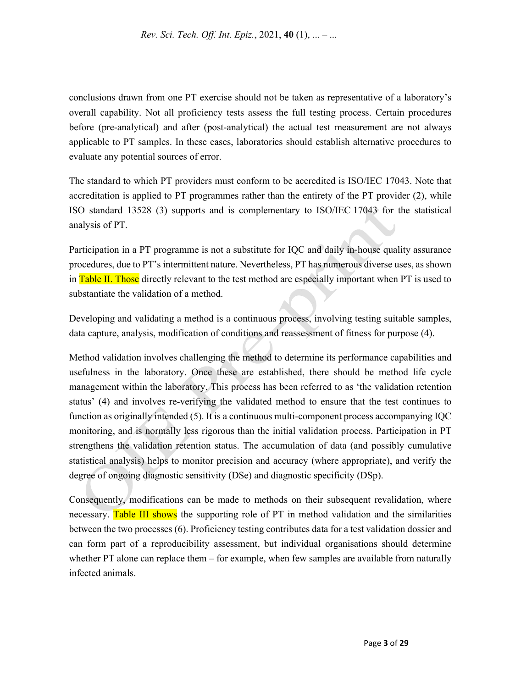conclusions drawn from one PT exercise should not be taken as representative of a laboratory's overall capability. Not all proficiency tests assess the full testing process. Certain procedures before (pre-analytical) and after (post-analytical) the actual test measurement are not always applicable to PT samples. In these cases, laboratories should establish alternative procedures to evaluate any potential sources of error.

The standard to which PT providers must conform to be accredited is ISO/IEC 17043. Note that accreditation is applied to PT programmes rather than the entirety of the PT provider (2), while ISO standard 13528 (3) supports and is complementary to ISO/IEC 17043 for the statistical analysis of PT.

Participation in a PT programme is not a substitute for IQC and daily in-house quality assurance procedures, due to PT's intermittent nature. Nevertheless, PT has numerous diverse uses, as shown in Table II. Those directly relevant to the test method are especially important when PT is used to substantiate the validation of a method.

Developing and validating a method is a continuous process, involving testing suitable samples, data capture, analysis, modification of conditions and reassessment of fitness for purpose (4).

Method validation involves challenging the method to determine its performance capabilities and usefulness in the laboratory. Once these are established, there should be method life cycle management within the laboratory. This process has been referred to as 'the validation retention status' (4) and involves re-verifying the validated method to ensure that the test continues to function as originally intended (5). It is a continuous multi-component process accompanying IQC monitoring, and is normally less rigorous than the initial validation process. Participation in PT strengthens the validation retention status. The accumulation of data (and possibly cumulative statistical analysis) helps to monitor precision and accuracy (where appropriate), and verify the degree of ongoing diagnostic sensitivity (DSe) and diagnostic specificity (DSp).

Consequently, modifications can be made to methods on their subsequent revalidation, where necessary. Table III shows the supporting role of PT in method validation and the similarities between the two processes (6). Proficiency testing contributes data for a test validation dossier and can form part of a reproducibility assessment, but individual organisations should determine whether PT alone can replace them – for example, when few samples are available from naturally infected animals.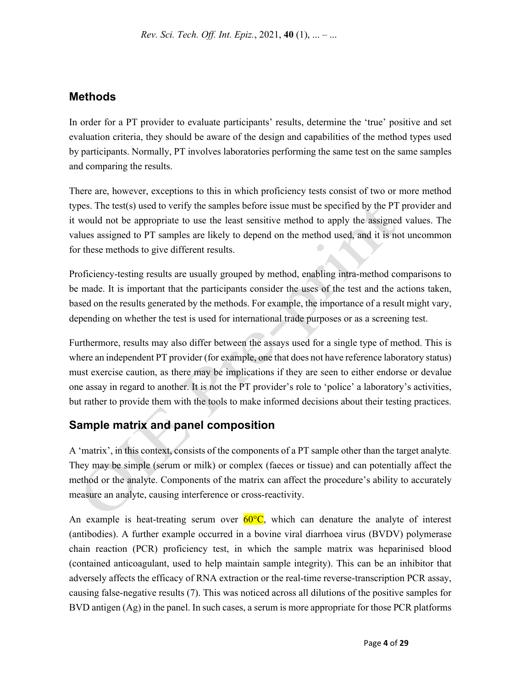*Rev. Sci. Tech. Off. Int. Epiz.*, 2021, **40** (1), ... – ...

### **Methods**

In order for a PT provider to evaluate participants' results, determine the 'true' positive and set evaluation criteria, they should be aware of the design and capabilities of the method types used by participants. Normally, PT involves laboratories performing the same test on the same samples and comparing the results.

There are, however, exceptions to this in which proficiency tests consist of two or more method types. The test(s) used to verify the samples before issue must be specified by the PT provider and it would not be appropriate to use the least sensitive method to apply the assigned values. The values assigned to PT samples are likely to depend on the method used, and it is not uncommon for these methods to give different results.

Proficiency-testing results are usually grouped by method, enabling intra-method comparisons to be made. It is important that the participants consider the uses of the test and the actions taken, based on the results generated by the methods. For example, the importance of a result might vary, depending on whether the test is used for international trade purposes or as a screening test.

Furthermore, results may also differ between the assays used for a single type of method. This is where an independent PT provider (for example, one that does not have reference laboratory status) must exercise caution, as there may be implications if they are seen to either endorse or devalue one assay in regard to another. It is not the PT provider's role to 'police' a laboratory's activities, but rather to provide them with the tools to make informed decisions about their testing practices.

# **Sample matrix and panel composition**

A 'matrix', in this context, consists of the components of a PT sample other than the target analyte. They may be simple (serum or milk) or complex (faeces or tissue) and can potentially affect the method or the analyte. Components of the matrix can affect the procedure's ability to accurately measure an analyte, causing interference or cross-reactivity.

An example is heat-treating serum over  $60^{\circ}C$ , which can denature the analyte of interest (antibodies). A further example occurred in a bovine viral diarrhoea virus (BVDV) polymerase chain reaction (PCR) proficiency test, in which the sample matrix was heparinised blood (contained anticoagulant, used to help maintain sample integrity). This can be an inhibitor that adversely affects the efficacy of RNA extraction or the real-time reverse-transcription PCR assay, causing false-negative results (7). This was noticed across all dilutions of the positive samples for BVD antigen (Ag) in the panel. In such cases, a serum is more appropriate for those PCR platforms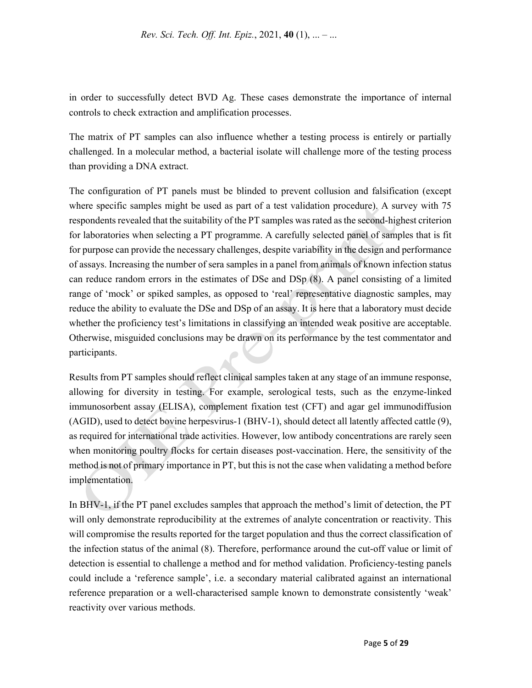in order to successfully detect BVD Ag. These cases demonstrate the importance of internal controls to check extraction and amplification processes.

The matrix of PT samples can also influence whether a testing process is entirely or partially challenged. In a molecular method, a bacterial isolate will challenge more of the testing process than providing a DNA extract.

The configuration of PT panels must be blinded to prevent collusion and falsification (except where specific samples might be used as part of a test validation procedure). A survey with 75 respondents revealed that the suitability of the PT samples was rated as the second-highest criterion for laboratories when selecting a PT programme. A carefully selected panel of samples that is fit for purpose can provide the necessary challenges, despite variability in the design and performance of assays. Increasing the number of sera samples in a panel from animals of known infection status can reduce random errors in the estimates of DSe and DSp (8). A panel consisting of a limited range of 'mock' or spiked samples, as opposed to 'real' representative diagnostic samples, may reduce the ability to evaluate the DSe and DSp of an assay. It is here that a laboratory must decide whether the proficiency test's limitations in classifying an intended weak positive are acceptable. Otherwise, misguided conclusions may be drawn on its performance by the test commentator and participants.

Results from PT samples should reflect clinical samples taken at any stage of an immune response, allowing for diversity in testing. For example, serological tests, such as the enzyme-linked immunosorbent assay (ELISA), complement fixation test (CFT) and agar gel immunodiffusion (AGID), used to detect bovine herpesvirus-1 (BHV-1), should detect all latently affected cattle (9), as required for international trade activities. However, low antibody concentrations are rarely seen when monitoring poultry flocks for certain diseases post-vaccination. Here, the sensitivity of the method is not of primary importance in PT, but this is not the case when validating a method before implementation.

In BHV-1, if the PT panel excludes samples that approach the method's limit of detection, the PT will only demonstrate reproducibility at the extremes of analyte concentration or reactivity. This will compromise the results reported for the target population and thus the correct classification of the infection status of the animal (8). Therefore, performance around the cut-off value or limit of detection is essential to challenge a method and for method validation. Proficiency-testing panels could include a 'reference sample', i.e. a secondary material calibrated against an international reference preparation or a well-characterised sample known to demonstrate consistently 'weak' reactivity over various methods.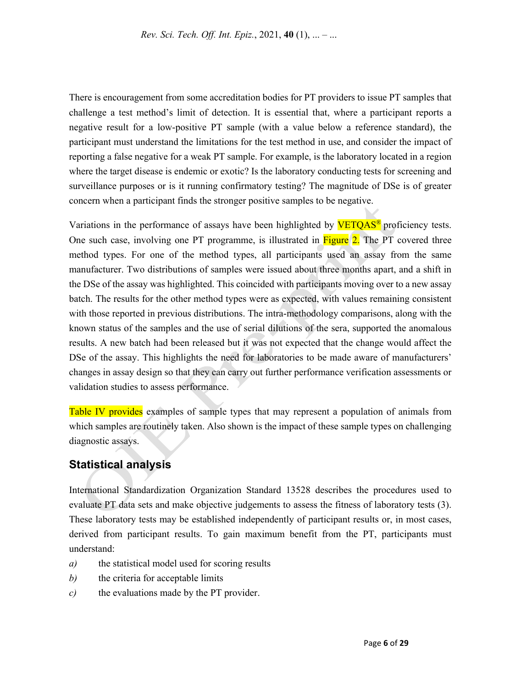There is encouragement from some accreditation bodies for PT providers to issue PT samples that challenge a test method's limit of detection. It is essential that, where a participant reports a negative result for a low-positive PT sample (with a value below a reference standard), the participant must understand the limitations for the test method in use, and consider the impact of reporting a false negative for a weak PT sample. For example, is the laboratory located in a region where the target disease is endemic or exotic? Is the laboratory conducting tests for screening and surveillance purposes or is it running confirmatory testing? The magnitude of DSe is of greater concern when a participant finds the stronger positive samples to be negative.

Variations in the performance of assays have been highlighted by **VETQAS<sup>®</sup>** proficiency tests. One such case, involving one PT programme, is illustrated in Figure 2. The PT covered three method types. For one of the method types, all participants used an assay from the same manufacturer. Two distributions of samples were issued about three months apart, and a shift in the DSe of the assay was highlighted. This coincided with participants moving over to a new assay batch. The results for the other method types were as expected, with values remaining consistent with those reported in previous distributions. The intra-methodology comparisons, along with the known status of the samples and the use of serial dilutions of the sera, supported the anomalous results. A new batch had been released but it was not expected that the change would affect the DSe of the assay. This highlights the need for laboratories to be made aware of manufacturers' changes in assay design so that they can carry out further performance verification assessments or validation studies to assess performance.

Table IV provides examples of sample types that may represent a population of animals from which samples are routinely taken. Also shown is the impact of these sample types on challenging diagnostic assays.

### **Statistical analysis**

International Standardization Organization Standard 13528 describes the procedures used to evaluate PT data sets and make objective judgements to assess the fitness of laboratory tests (3). These laboratory tests may be established independently of participant results or, in most cases, derived from participant results. To gain maximum benefit from the PT, participants must understand:

- *a)* the statistical model used for scoring results
- *b)* the criteria for acceptable limits
- *c)* the evaluations made by the PT provider.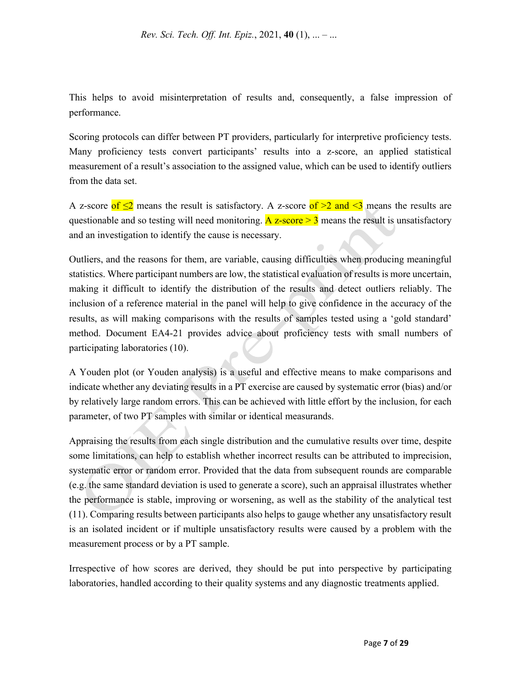This helps to avoid misinterpretation of results and, consequently, a false impression of performance.

Scoring protocols can differ between PT providers, particularly for interpretive proficiency tests. Many proficiency tests convert participants' results into a z-score, an applied statistical measurement of a result's association to the assigned value, which can be used to identify outliers from the data set.

A z-score of  $\leq 2$  means the result is satisfactory. A z-score of  $>2$  and  $\leq 3$  means the results are questionable and so testing will need monitoring.  $\overline{A}$  z-score  $\geq 3$  means the result is unsatisfactory and an investigation to identify the cause is necessary.

Outliers, and the reasons for them, are variable, causing difficulties when producing meaningful statistics. Where participant numbers are low, the statistical evaluation of results is more uncertain, making it difficult to identify the distribution of the results and detect outliers reliably. The inclusion of a reference material in the panel will help to give confidence in the accuracy of the results, as will making comparisons with the results of samples tested using a 'gold standard' method. Document EA4-21 provides advice about proficiency tests with small numbers of participating laboratories (10).

A Youden plot (or Youden analysis) is a useful and effective means to make comparisons and indicate whether any deviating results in a PT exercise are caused by systematic error (bias) and/or by relatively large random errors. This can be achieved with little effort by the inclusion, for each parameter, of two PT samples with similar or identical measurands.

Appraising the results from each single distribution and the cumulative results over time, despite some limitations, can help to establish whether incorrect results can be attributed to imprecision, systematic error or random error. Provided that the data from subsequent rounds are comparable (e.g. the same standard deviation is used to generate a score), such an appraisal illustrates whether the performance is stable, improving or worsening, as well as the stability of the analytical test (11). Comparing results between participants also helps to gauge whether any unsatisfactory result is an isolated incident or if multiple unsatisfactory results were caused by a problem with the measurement process or by a PT sample.

Irrespective of how scores are derived, they should be put into perspective by participating laboratories, handled according to their quality systems and any diagnostic treatments applied.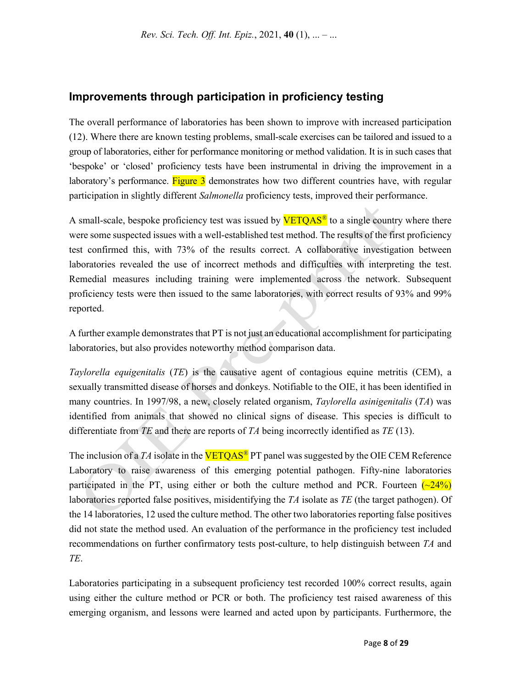## **Improvements through participation in proficiency testing**

The overall performance of laboratories has been shown to improve with increased participation (12). Where there are known testing problems, small-scale exercises can be tailored and issued to a group of laboratories, either for performance monitoring or method validation. It is in such cases that 'bespoke' or 'closed' proficiency tests have been instrumental in driving the improvement in a laboratory's performance. Figure 3 demonstrates how two different countries have, with regular participation in slightly different *Salmonella* proficiency tests, improved their performance.

A small-scale, bespoke proficiency test was issued by  $VETOAS^{\circ}$  to a single country where there were some suspected issues with a well-established test method. The results of the first proficiency test confirmed this, with 73% of the results correct. A collaborative investigation between laboratories revealed the use of incorrect methods and difficulties with interpreting the test. Remedial measures including training were implemented across the network. Subsequent proficiency tests were then issued to the same laboratories, with correct results of 93% and 99% reported.

A further example demonstrates that PT is not just an educational accomplishment for participating laboratories, but also provides noteworthy method comparison data.

*Taylorella equigenitalis* (*TE*) is the causative agent of contagious equine metritis (CEM), a sexually transmitted disease of horses and donkeys. Notifiable to the OIE, it has been identified in many countries. In 1997/98, a new, closely related organism, *Taylorella asinigenitalis* (*TA*) was identified from animals that showed no clinical signs of disease. This species is difficult to differentiate from *TE* and there are reports of *TA* being incorrectly identified as *TE* (13).

The inclusion of a *TA* isolate in the **VETQAS<sup>®</sup>** PT panel was suggested by the OIE CEM Reference Laboratory to raise awareness of this emerging potential pathogen. Fifty-nine laboratories participated in the PT, using either or both the culture method and PCR. Fourteen  $\left(\frac{\sim 24\%}{\sim 24\%}\right)$ laboratories reported false positives, misidentifying the *TA* isolate as *TE* (the target pathogen). Of the 14 laboratories, 12 used the culture method. The other two laboratories reporting false positives did not state the method used. An evaluation of the performance in the proficiency test included recommendations on further confirmatory tests post-culture, to help distinguish between *TA* and *TE*.

Laboratories participating in a subsequent proficiency test recorded 100% correct results, again using either the culture method or PCR or both. The proficiency test raised awareness of this emerging organism, and lessons were learned and acted upon by participants. Furthermore, the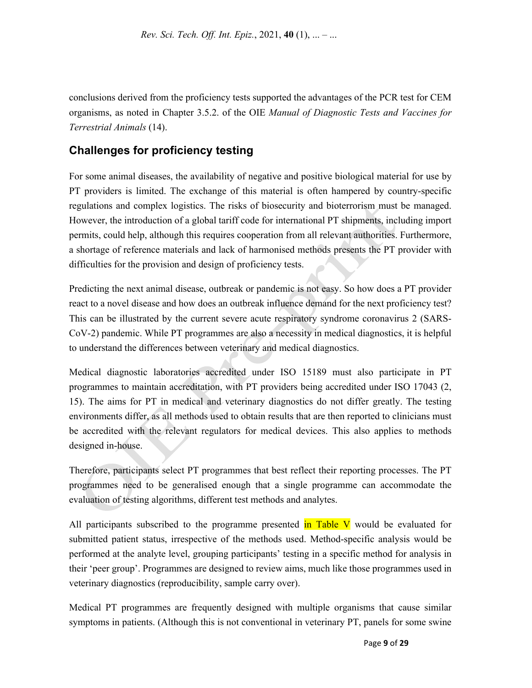conclusions derived from the proficiency tests supported the advantages of the PCR test for CEM organisms, as noted in Chapter 3.5.2. of the OIE *Manual of Diagnostic Tests and Vaccines for Terrestrial Animals* (14).

# **Challenges for proficiency testing**

For some animal diseases, the availability of negative and positive biological material for use by PT providers is limited. The exchange of this material is often hampered by country-specific regulations and complex logistics. The risks of biosecurity and bioterrorism must be managed. However, the introduction of a global tariff code for international PT shipments, including import permits, could help, although this requires cooperation from all relevant authorities. Furthermore, a shortage of reference materials and lack of harmonised methods presents the PT provider with difficulties for the provision and design of proficiency tests.

Predicting the next animal disease, outbreak or pandemic is not easy. So how does a PT provider react to a novel disease and how does an outbreak influence demand for the next proficiency test? This can be illustrated by the current severe acute respiratory syndrome coronavirus 2 (SARS-CoV-2) pandemic. While PT programmes are also a necessity in medical diagnostics, it is helpful to understand the differences between veterinary and medical diagnostics.

Medical diagnostic laboratories accredited under ISO 15189 must also participate in PT programmes to maintain accreditation, with PT providers being accredited under ISO 17043 (2, 15). The aims for PT in medical and veterinary diagnostics do not differ greatly. The testing environments differ, as all methods used to obtain results that are then reported to clinicians must be accredited with the relevant regulators for medical devices. This also applies to methods designed in-house.

Therefore, participants select PT programmes that best reflect their reporting processes. The PT programmes need to be generalised enough that a single programme can accommodate the evaluation of testing algorithms, different test methods and analytes.

All participants subscribed to the programme presented  $\frac{1}{n}$  Table V would be evaluated for submitted patient status, irrespective of the methods used. Method-specific analysis would be performed at the analyte level, grouping participants' testing in a specific method for analysis in their 'peer group'. Programmes are designed to review aims, much like those programmes used in veterinary diagnostics (reproducibility, sample carry over).

Medical PT programmes are frequently designed with multiple organisms that cause similar symptoms in patients. (Although this is not conventional in veterinary PT, panels for some swine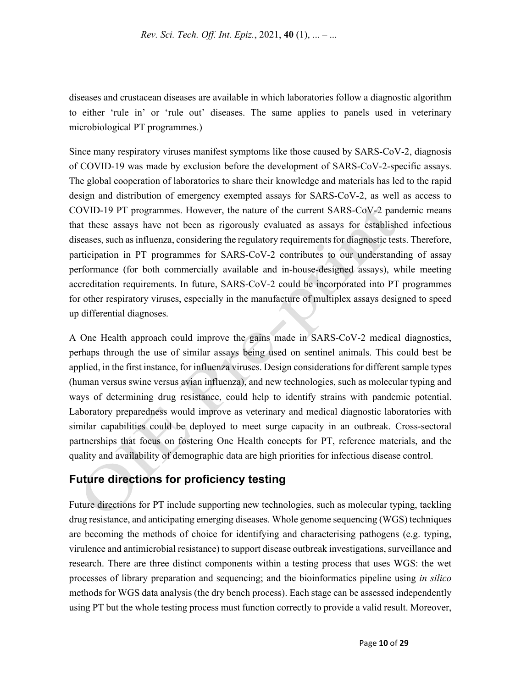diseases and crustacean diseases are available in which laboratories follow a diagnostic algorithm to either 'rule in' or 'rule out' diseases. The same applies to panels used in veterinary microbiological PT programmes.)

Since many respiratory viruses manifest symptoms like those caused by SARS-CoV-2, diagnosis of COVID-19 was made by exclusion before the development of SARS-CoV-2-specific assays. The global cooperation of laboratories to share their knowledge and materials has led to the rapid design and distribution of emergency exempted assays for SARS-CoV-2, as well as access to COVID-19 PT programmes. However, the nature of the current SARS-CoV-2 pandemic means that these assays have not been as rigorously evaluated as assays for established infectious diseases, such as influenza, considering the regulatory requirements for diagnostic tests. Therefore, participation in PT programmes for SARS-CoV-2 contributes to our understanding of assay performance (for both commercially available and in-house-designed assays), while meeting accreditation requirements. In future, SARS-CoV-2 could be incorporated into PT programmes for other respiratory viruses, especially in the manufacture of multiplex assays designed to speed up differential diagnoses.

A One Health approach could improve the gains made in SARS-CoV-2 medical diagnostics, perhaps through the use of similar assays being used on sentinel animals. This could best be applied, in the first instance, for influenza viruses. Design considerations for different sample types (human versus swine versus avian influenza), and new technologies, such as molecular typing and ways of determining drug resistance, could help to identify strains with pandemic potential. Laboratory preparedness would improve as veterinary and medical diagnostic laboratories with similar capabilities could be deployed to meet surge capacity in an outbreak. Cross-sectoral partnerships that focus on fostering One Health concepts for PT, reference materials, and the quality and availability of demographic data are high priorities for infectious disease control.

# **Future directions for proficiency testing**

Future directions for PT include supporting new technologies, such as molecular typing, tackling drug resistance, and anticipating emerging diseases. Whole genome sequencing (WGS) techniques are becoming the methods of choice for identifying and characterising pathogens (e.g. typing, virulence and antimicrobial resistance) to support disease outbreak investigations, surveillance and research. There are three distinct components within a testing process that uses WGS: the wet processes of library preparation and sequencing; and the bioinformatics pipeline using *in silico* methods for WGS data analysis (the dry bench process). Each stage can be assessed independently using PT but the whole testing process must function correctly to provide a valid result. Moreover,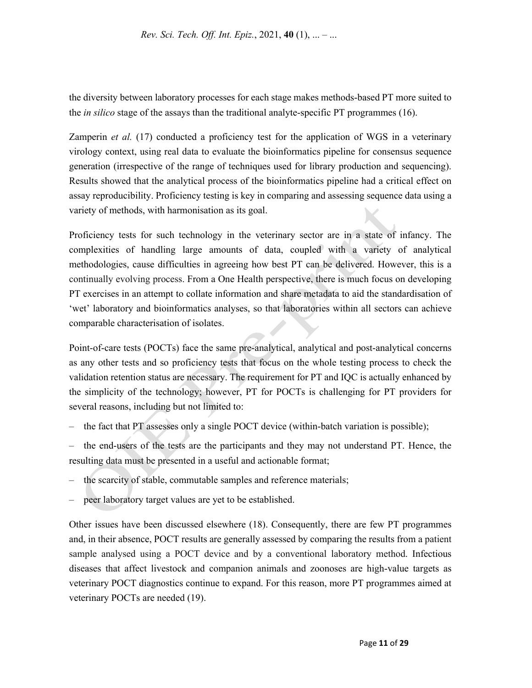the diversity between laboratory processes for each stage makes methods-based PT more suited to the *in silico* stage of the assays than the traditional analyte-specific PT programmes (16).

Zamperin *et al.* (17) conducted a proficiency test for the application of WGS in a veterinary virology context, using real data to evaluate the bioinformatics pipeline for consensus sequence generation (irrespective of the range of techniques used for library production and sequencing). Results showed that the analytical process of the bioinformatics pipeline had a critical effect on assay reproducibility. Proficiency testing is key in comparing and assessing sequence data using a variety of methods, with harmonisation as its goal.

Proficiency tests for such technology in the veterinary sector are in a state of infancy. The complexities of handling large amounts of data, coupled with a variety of analytical methodologies, cause difficulties in agreeing how best PT can be delivered. However, this is a continually evolving process. From a One Health perspective, there is much focus on developing PT exercises in an attempt to collate information and share metadata to aid the standardisation of 'wet' laboratory and bioinformatics analyses, so that laboratories within all sectors can achieve comparable characterisation of isolates.

Point-of-care tests (POCTs) face the same pre-analytical, analytical and post-analytical concerns as any other tests and so proficiency tests that focus on the whole testing process to check the validation retention status are necessary. The requirement for PT and IQC is actually enhanced by the simplicity of the technology; however, PT for POCTs is challenging for PT providers for several reasons, including but not limited to:

– the fact that PT assesses only a single POCT device (within-batch variation is possible);

– the end-users of the tests are the participants and they may not understand PT. Hence, the resulting data must be presented in a useful and actionable format;

- the scarcity of stable, commutable samples and reference materials;
- peer laboratory target values are yet to be established.

Other issues have been discussed elsewhere (18). Consequently, there are few PT programmes and, in their absence, POCT results are generally assessed by comparing the results from a patient sample analysed using a POCT device and by a conventional laboratory method. Infectious diseases that affect livestock and companion animals and zoonoses are high-value targets as veterinary POCT diagnostics continue to expand. For this reason, more PT programmes aimed at veterinary POCTs are needed (19).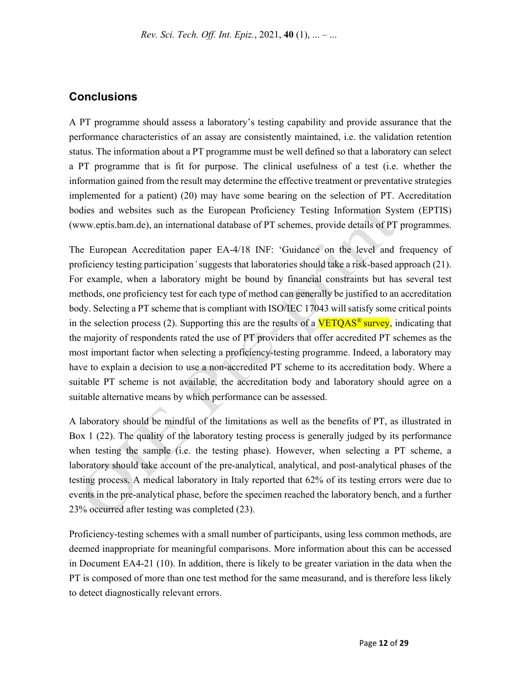### **Conclusions**

A PT programme should assess a laboratory's testing capability and provide assurance that the performance characteristics of an assay are consistently maintained, i.e. the validation retention status. The information about a PT programme must be well defined so that a laboratory can select a PT programme that is fit for purpose. The clinical usefulness of a test (i.e. whether the information gained from the result may determine the effective treatment or preventative strategies implemented for a patient) (20) may have some bearing on the selection of PT. Accreditation bodies and websites such as the European Proficiency Testing Information System (EPTIS) (www.eptis.bam.de), an international database of PT schemes, provide details of PT programmes.

The European Accreditation paper EA-4/18 INF: 'Guidance on the level and frequency of proficiency testing participation*'* suggests that laboratories should take a risk-based approach (21). For example, when a laboratory might be bound by financial constraints but has several test methods, one proficiency test for each type of method can generally be justified to an accreditation body. Selecting a PT scheme that is compliant with ISO/IEC 17043 will satisfy some critical points in the selection process (2). Supporting this are the results of a  $VETOAS^{\circ}$  survey, indicating that the majority of respondents rated the use of PT providers that offer accredited PT schemes as the most important factor when selecting a proficiency-testing programme. Indeed, a laboratory may have to explain a decision to use a non-accredited PT scheme to its accreditation body. Where a suitable PT scheme is not available, the accreditation body and laboratory should agree on a suitable alternative means by which performance can be assessed.

A laboratory should be mindful of the limitations as well as the benefits of PT, as illustrated in Box 1 (22). The quality of the laboratory testing process is generally judged by its performance when testing the sample (i.e. the testing phase). However, when selecting a PT scheme, a laboratory should take account of the pre-analytical, analytical, and post-analytical phases of the testing process. A medical laboratory in Italy reported that 62% of its testing errors were due to events in the pre-analytical phase, before the specimen reached the laboratory bench, and a further 23% occurred after testing was completed (23).

Proficiency-testing schemes with a small number of participants, using less common methods, are deemed inappropriate for meaningful comparisons. More information about this can be accessed in Document EA4-21 (10). In addition, there is likely to be greater variation in the data when the PT is composed of more than one test method for the same measurand, and is therefore less likely to detect diagnostically relevant errors.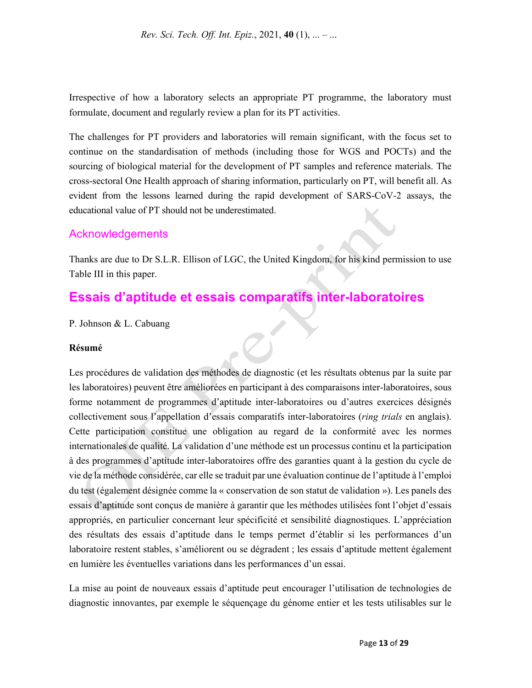Irrespective of how a laboratory selects an appropriate PT programme, the laboratory must formulate, document and regularly review a plan for its PT activities.

The challenges for PT providers and laboratories will remain significant, with the focus set to continue on the standardisation of methods (including those for WGS and POCTs) and the sourcing of biological material for the development of PT samples and reference materials. The cross-sectoral One Health approach of sharing information, particularly on PT, will benefit all. As evident from the lessons learned during the rapid development of SARS-CoV-2 assays, the educational value of PT should not be underestimated.

### **Acknowledgements**

Thanks are due to Dr S.L.R. Ellison of LGC, the United Kingdom, for his kind permission to use Table III in this paper.

# **Essais d'aptitude et essais comparatifs inter-laboratoires**

P. Johnson & L. Cabuang

#### **Résumé**

Les procédures de validation des méthodes de diagnostic (et les résultats obtenus par la suite par les laboratoires) peuvent être améliorées en participant à des comparaisons inter-laboratoires, sous forme notamment de programmes d'aptitude inter-laboratoires ou d'autres exercices désignés collectivement sous l'appellation d'essais comparatifs inter-laboratoires (*ring trials* en anglais). Cette participation constitue une obligation au regard de la conformité avec les normes internationales de qualité. La validation d'une méthode est un processus continu et la participation à des programmes d'aptitude inter-laboratoires offre des garanties quant à la gestion du cycle de vie de la méthode considérée, car elle se traduit par une évaluation continue de l'aptitude à l'emploi du test (également désignée comme la « conservation de son statut de validation »). Les panels des essais d'aptitude sont conçus de manière à garantir que les méthodes utilisées font l'objet d'essais appropriés, en particulier concernant leur spécificité et sensibilité diagnostiques. L'appréciation des résultats des essais d'aptitude dans le temps permet d'établir si les performances d'un laboratoire restent stables, s'améliorent ou se dégradent ; les essais d'aptitude mettent également en lumière les éventuelles variations dans les performances d'un essai.

La mise au point de nouveaux essais d'aptitude peut encourager l'utilisation de technologies de diagnostic innovantes, par exemple le séquençage du génome entier et les tests utilisables sur le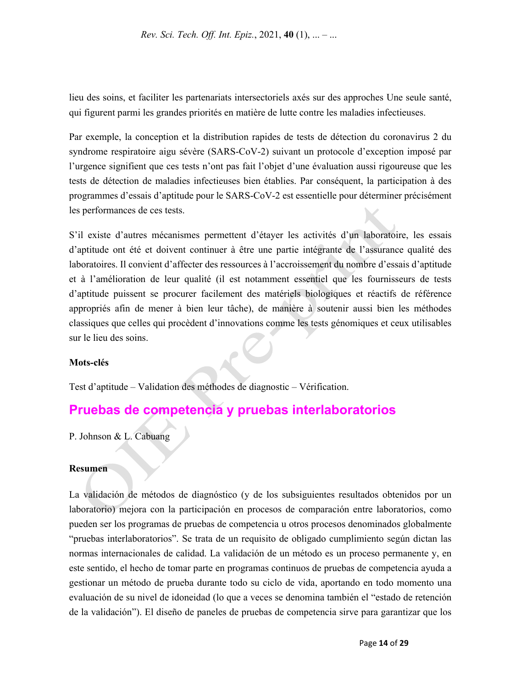lieu des soins, et faciliter les partenariats intersectoriels axés sur des approches Une seule santé, qui figurent parmi les grandes priorités en matière de lutte contre les maladies infectieuses.

Par exemple, la conception et la distribution rapides de tests de détection du coronavirus 2 du syndrome respiratoire aigu sévère (SARS-CoV-2) suivant un protocole d'exception imposé par l'urgence signifient que ces tests n'ont pas fait l'objet d'une évaluation aussi rigoureuse que les tests de détection de maladies infectieuses bien établies. Par conséquent, la participation à des programmes d'essais d'aptitude pour le SARS-CoV-2 est essentielle pour déterminer précisément les performances de ces tests.

S'il existe d'autres mécanismes permettent d'étayer les activités d'un laboratoire, les essais d'aptitude ont été et doivent continuer à être une partie intégrante de l'assurance qualité des laboratoires. Il convient d'affecter des ressources à l'accroissement du nombre d'essais d'aptitude et à l'amélioration de leur qualité (il est notamment essentiel que les fournisseurs de tests d'aptitude puissent se procurer facilement des matériels biologiques et réactifs de référence appropriés afin de mener à bien leur tâche), de manière à soutenir aussi bien les méthodes classiques que celles qui procèdent d'innovations comme les tests génomiques et ceux utilisables sur le lieu des soins.

#### **Mots-clés**

Test d'aptitude – Validation des méthodes de diagnostic – Vérification.

# **Pruebas de competencia y pruebas interlaboratorios**

P. Johnson & L. Cabuang

#### **Resumen**

La validación de métodos de diagnóstico (y de los subsiguientes resultados obtenidos por un laboratorio) mejora con la participación en procesos de comparación entre laboratorios, como pueden ser los programas de pruebas de competencia u otros procesos denominados globalmente "pruebas interlaboratorios". Se trata de un requisito de obligado cumplimiento según dictan las normas internacionales de calidad. La validación de un método es un proceso permanente y, en este sentido, el hecho de tomar parte en programas continuos de pruebas de competencia ayuda a gestionar un método de prueba durante todo su ciclo de vida, aportando en todo momento una evaluación de su nivel de idoneidad (lo que a veces se denomina también el "estado de retención de la validación"). El diseño de paneles de pruebas de competencia sirve para garantizar que los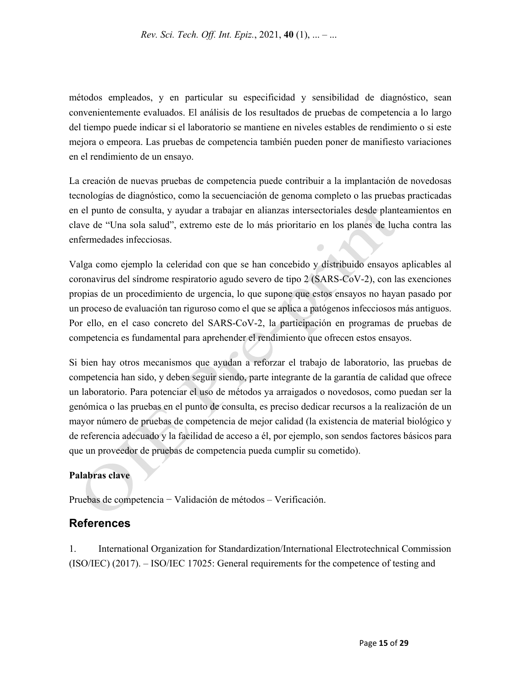métodos empleados, y en particular su especificidad y sensibilidad de diagnóstico, sean convenientemente evaluados. El análisis de los resultados de pruebas de competencia a lo largo del tiempo puede indicar si el laboratorio se mantiene en niveles estables de rendimiento o si este mejora o empeora. Las pruebas de competencia también pueden poner de manifiesto variaciones en el rendimiento de un ensayo.

La creación de nuevas pruebas de competencia puede contribuir a la implantación de novedosas tecnologías de diagnóstico, como la secuenciación de genoma completo o las pruebas practicadas en el punto de consulta, y ayudar a trabajar en alianzas intersectoriales desde planteamientos en clave de "Una sola salud", extremo este de lo más prioritario en los planes de lucha contra las enfermedades infecciosas.

Valga como ejemplo la celeridad con que se han concebido y distribuido ensayos aplicables al coronavirus del síndrome respiratorio agudo severo de tipo 2 (SARS-CoV-2), con las exenciones propias de un procedimiento de urgencia, lo que supone que estos ensayos no hayan pasado por un proceso de evaluación tan riguroso como el que se aplica a patógenos infecciosos más antiguos. Por ello, en el caso concreto del SARS-CoV-2, la participación en programas de pruebas de competencia es fundamental para aprehender el rendimiento que ofrecen estos ensayos.

Si bien hay otros mecanismos que ayudan a reforzar el trabajo de laboratorio, las pruebas de competencia han sido, y deben seguir siendo, parte integrante de la garantía de calidad que ofrece un laboratorio. Para potenciar el uso de métodos ya arraigados o novedosos, como puedan ser la genómica o las pruebas en el punto de consulta, es preciso dedicar recursos a la realización de un mayor número de pruebas de competencia de mejor calidad (la existencia de material biológico y de referencia adecuado y la facilidad de acceso a él, por ejemplo, son sendos factores básicos para que un proveedor de pruebas de competencia pueda cumplir su cometido).

#### **Palabras clave**

Pruebas de competencia − Validación de métodos – Verificación.

### **References**

1. International Organization for Standardization/International Electrotechnical Commission (ISO/IEC) (2017). – ISO/IEC 17025: General requirements for the competence of testing and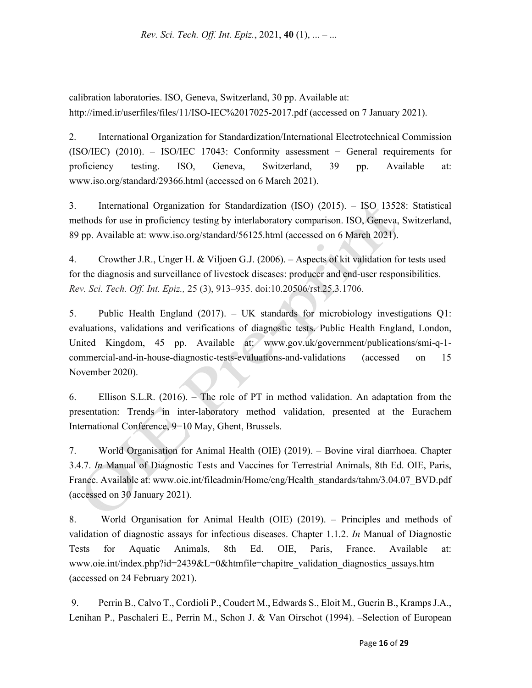calibration laboratories. ISO, Geneva, Switzerland, 30 pp. Available at: http://imed.ir/userfiles/files/11/ISO-IEC%2017025-2017.pdf (accessed on 7 January 2021).

2. International Organization for Standardization/International Electrotechnical Commission (ISO/IEC) (2010). – ISO/IEC 17043: Conformity assessment − General requirements for proficiency testing. ISO, Geneva, Switzerland, 39 pp. Available at: www.iso.org/standard/29366.html (accessed on 6 March 2021).

3. International Organization for Standardization (ISO) (2015). – ISO 13528: Statistical methods for use in proficiency testing by interlaboratory comparison. ISO, Geneva, Switzerland, 89 pp. Available at: www.iso.org/standard/56125.html (accessed on 6 March 2021).

4. Crowther J.R., Unger H. & Viljoen G.J. (2006). – Aspects of kit validation for tests used for the diagnosis and surveillance of livestock diseases: producer and end-user responsibilities. *Rev. Sci. Tech. Off. Int. Epiz.,* 25 (3), 913–935. doi:10.20506/rst.25.3.1706.

5. Public Health England (2017). – UK standards for microbiology investigations Q1: evaluations, validations and verifications of diagnostic tests. Public Health England, London, United Kingdom, 45 pp. Available at: www.gov.uk/government/publications/smi-q-1 commercial-and-in-house-diagnostic-tests-evaluations-and-validations (accessed on 15 November 2020).

6. Ellison S.L.R. (2016). – The role of PT in method validation. An adaptation from the presentation: Trends in inter-laboratory method validation, presented at the Eurachem International Conference, 9−10 May, Ghent, Brussels.

7. World Organisation for Animal Health (OIE) (2019). – Bovine viral diarrhoea. Chapter 3.4.7. *In* Manual of Diagnostic Tests and Vaccines for Terrestrial Animals, 8th Ed. OIE, Paris, France. Available at: www.oie.int/fileadmin/Home/eng/Health\_standards/tahm/3.04.07\_BVD.pdf (accessed on 30 January 2021).

8. World Organisation for Animal Health (OIE) (2019). – Principles and methods of validation of diagnostic assays for infectious diseases. Chapter 1.1.2. *In* Manual of Diagnostic Tests for Aquatic Animals, 8th Ed. OIE, Paris, France. Available at: www.oie.int/index.php?id=2439&L=0&htmfile=chapitre\_validation\_diagnostics\_assays.htm (accessed on 24 February 2021).

 9. Perrin B., Calvo T., Cordioli P., Coudert M., Edwards S., Eloit M., Guerin B., Kramps J.A., Lenihan P., Paschaleri E., Perrin M., Schon J. & Van Oirschot (1994). –Selection of European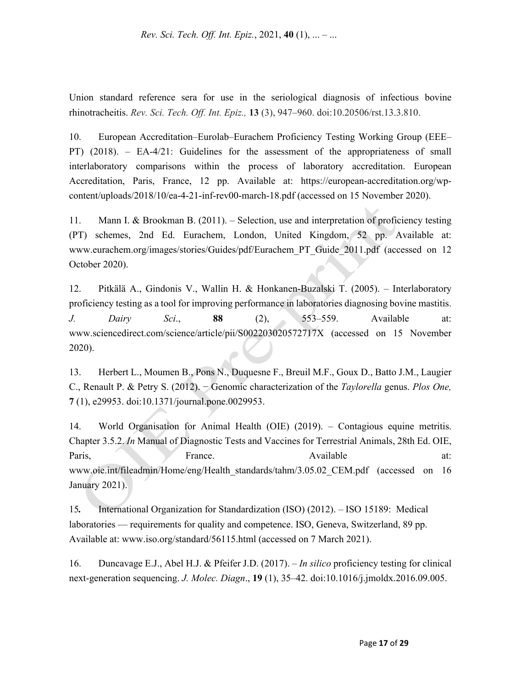Union standard reference sera for use in the seriological diagnosis of infectious bovine rhinotracheitis. *Rev. Sci. Tech. Off. Int. Epiz.,* **13** (3), 947–960. doi:10.20506/rst.13.3.810.

10. European Accreditation–Eurolab–Eurachem Proficiency Testing Working Group (EEE– PT) (2018). – EA-4/21: Guidelines for the assessment of the appropriateness of small interlaboratory comparisons within the process of laboratory accreditation. European Accreditation, Paris, France, 12 pp. Available at: https://european-accreditation.org/wpcontent/uploads/2018/10/ea-4-21-inf-rev00-march-18.pdf (accessed on 15 November 2020).

11. Mann I. & Brookman B. (2011). – Selection, use and interpretation of proficiency testing (PT) schemes, 2nd Ed. Eurachem, London, United Kingdom, 52 pp. Available at: www.eurachem.org/images/stories/Guides/pdf/Eurachem\_PT\_Guide\_2011.pdf (accessed on 12 October 2020).

12. Pitkälä A., Gindonis V., Wallin H. & Honkanen-Buzalski T. (2005). – Interlaboratory proficiency testing as a tool for improving performance in laboratories diagnosing bovine mastitis. *J. Dairy Sci*., **88** (2), 553–559. Available at: www.sciencedirect.com/science/article/pii/S002203020572717X (accessed on 15 November 2020).

13. Herbert L., Moumen B., Pons N., Duquesne F., Breuil M.F., Goux D., Batto J.M., Laugier C., Renault P. & Petry S. (2012). − Genomic characterization of the *Taylorella* genus. *Plos One,*  **7** (1), e29953. doi:10.1371/journal.pone.0029953.

14. World Organisation for Animal Health (OIE) (2019). – Contagious equine metritis. Chapter 3.5.2. *In* Manual of Diagnostic Tests and Vaccines for Terrestrial Animals, 28th Ed. OIE, Paris, France. Available at: www.oie.int/fileadmin/Home/eng/Health\_standards/tahm/3.05.02\_CEM.pdf (accessed on 16 January 2021).

15*.* International Organization for Standardization (ISO) (2012). – ISO 15189: Medical laboratories — requirements for quality and competence. ISO, Geneva, Switzerland, 89 pp. Available at: www.iso.org/standard/56115.html (accessed on 7 March 2021).

16. Duncavage E.J., Abel H.J. & Pfeifer J.D. (2017). – *In silico* proficiency testing for clinical next-generation sequencing. *J. Molec. Diagn*., **19** (1), 35–42. doi:10.1016/j.jmoldx.2016.09.005.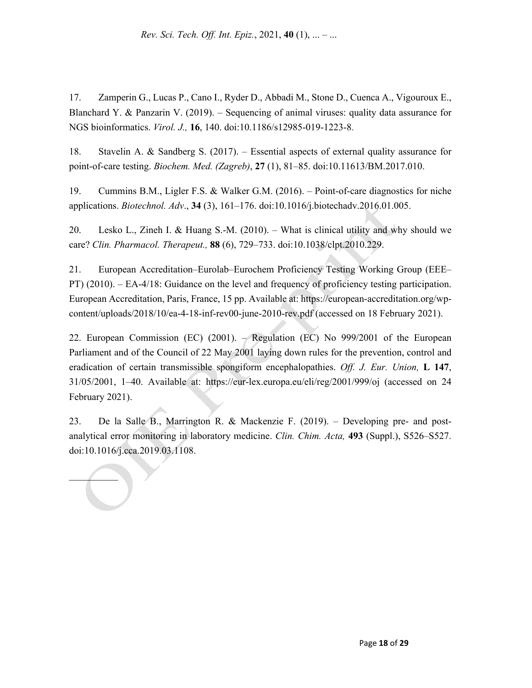17. Zamperin G., Lucas P., Cano I., Ryder D., Abbadi M., Stone D., Cuenca A., Vigouroux E., Blanchard Y. & Panzarin V. (2019). – Sequencing of animal viruses: quality data assurance for NGS bioinformatics. *Virol. J.,* **16**, 140. doi:10.1186/s12985-019-1223-8.

18. Stavelin A. & Sandberg S. (2017). – Essential aspects of external quality assurance for point-of-care testing. *Biochem. Med. (Zagreb)*, **27** (1), 81–85. doi:10.11613/BM.2017.010.

19. Cummins B.M., Ligler F.S. & Walker G.M. (2016). – Point-of-care diagnostics for niche applications. *Biotechnol. Adv*., **34** (3), 161–176. doi:10.1016/j.biotechadv.2016.01.005.

20. Lesko L., Zineh I. & Huang S.-M. (2010). – What is clinical utility and why should we care? *Clin. Pharmacol. Therapeut.,* **88** (6), 729–733. doi:10.1038/clpt.2010.229.

21. European Accreditation–Eurolab–Eurochem Proficiency Testing Working Group (EEE*–* PT) (2010). *–* EA-4/18: Guidance on the level and frequency of proficiency testing participation. European Accreditation, Paris, France, 15 pp. Available at: https://european-accreditation.org/wpcontent/uploads/2018/10/ea-4-18-inf-rev00-june-2010-rev.pdf (accessed on 18 February 2021).

22. European Commission (EC) (2001). *–* Regulation (EC) No 999/2001 of the European Parliament and of the Council of 22 May 2001 laying down rules for the prevention, control and eradication of certain transmissible spongiform encephalopathies. *Off. J. Eur. Union,* **L 147**, 31/05/2001, 1–40. Available at: https://eur-lex.europa.eu/eli/reg/2001/999/oj (accessed on 24 February 2021).

23. De la Salle B., Marrington R. & Mackenzie F. (2019). *–* Developing pre- and postanalytical error monitoring in laboratory medicine. *Clin. Chim. Acta,* **493** (Suppl.), S526–S527. doi:10.1016/j.cca.2019.03.1108.

 $\mathcal{L}$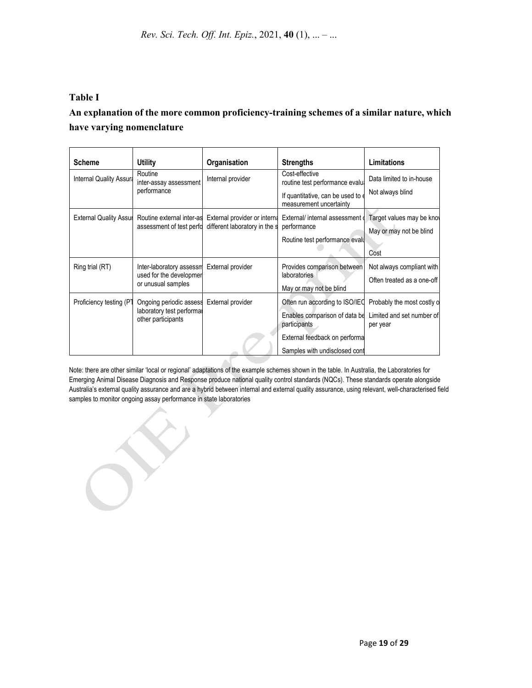### **Table I**

# **An explanation of the more common proficiency-training schemes of a similar nature, which have varying nomenclature**

| <b>Scheme</b>                  | <b>Utility</b>                                                             | Organisation                                                  | <b>Strengths</b>                                                                                          | <b>Limitations</b>                                      |
|--------------------------------|----------------------------------------------------------------------------|---------------------------------------------------------------|-----------------------------------------------------------------------------------------------------------|---------------------------------------------------------|
| <b>Internal Quality Assura</b> | Routine<br>inter-assay assessment<br>performance                           | Internal provider                                             | Cost-effective<br>routine test performance evalua                                                         | Data limited to in-house                                |
|                                |                                                                            |                                                               | If quantitative, can be used to a<br>measurement uncertainty                                              | Not always blind                                        |
| <b>External Quality Assur</b>  | Routine external inter-as<br>assessment of test perfo                      | External provider or interna<br>different laboratory in the s | External/ internal assessment of<br>performance                                                           | Target values may be know                               |
|                                |                                                                            |                                                               | Routine test performance evalue                                                                           | May or may not be blind<br>Cost                         |
| Ring trial (RT)                | Inter-laboratory assessm<br>used for the developmer<br>or unusual samples  | External provider                                             | Provides comparison between<br>laboratories<br>May or may not be blind                                    | Not always compliant with<br>Often treated as a one-off |
| Proficiency testing (PT        | Ongoing periodic assess<br>laboratory test performal<br>other participants | External provider                                             | Often run according to ISO/IEC<br>Enables comparison of data be Limited and set number of<br>participants | Probably the most costly o<br>per year                  |
|                                |                                                                            |                                                               | External feedback on performa<br>Samples with undisclosed cont                                            |                                                         |

Note: there are other similar 'local or regional' adaptations of the example schemes shown in the table. In Australia, the Laboratories for Emerging Animal Disease Diagnosis and Response produce national quality control standards (NQCs). These standards operate alongside Australia's external quality assurance and are a hybrid between internal and external quality assurance, using relevant, well-characterised field samples to monitor ongoing assay performance in state laboratories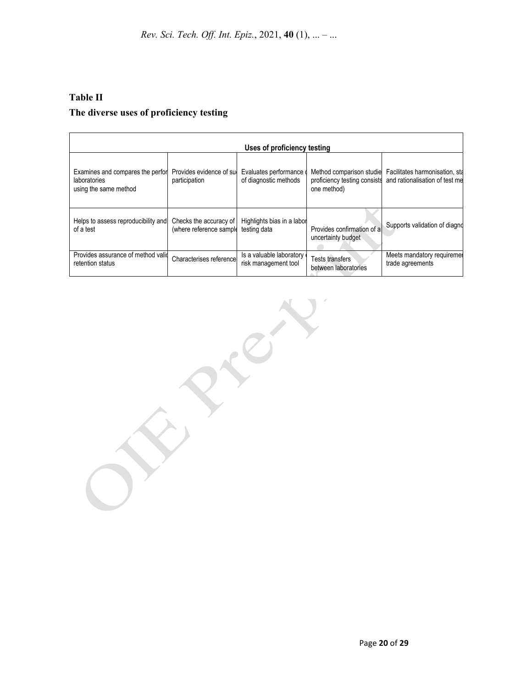# **Table II The diverse uses of proficiency testing**

|                                                                           |                                           | Uses of proficiency testing                    |                                                                         |                                                                  |
|---------------------------------------------------------------------------|-------------------------------------------|------------------------------------------------|-------------------------------------------------------------------------|------------------------------------------------------------------|
| Examines and compares the perfor<br>laboratories<br>using the same method | Provides evidence of sur<br>participation | Evaluates performance<br>of diagnostic methods | Method comparison studie<br>proficiency testing consists<br>one method) | Facilitates harmonisation, sta<br>and rationalisation of test me |
| Helps to assess reproducibility and                                       | Checks the accuracy of                    | Highlights bias in a labor                     | Provides confirmation of a                                              | Supports validation of diagno                                    |
| of a test                                                                 | (where reference sample                   | testing data                                   | uncertainty budget                                                      |                                                                  |
| Provides assurance of method valid                                        | Characterises referencel                  | Is a valuable laboratory                       | Tests transfers                                                         | Meets mandatory requiremer                                       |
| retention status                                                          |                                           | risk management tool                           | between laboratories                                                    | trade agreements                                                 |

RIV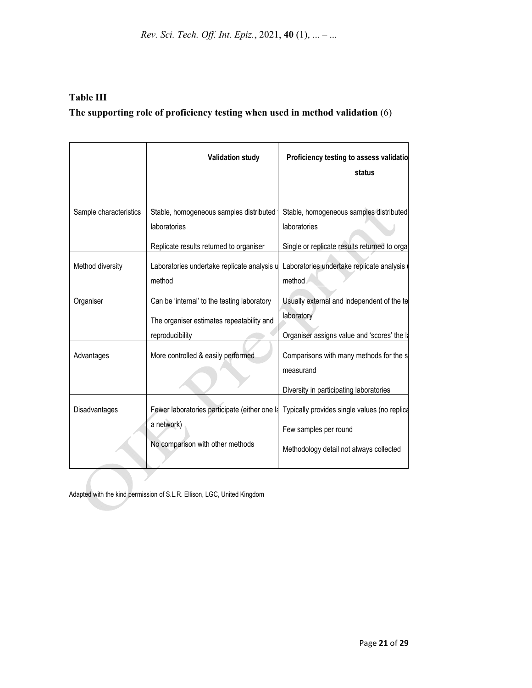*Rev. Sci. Tech. Off. Int. Epiz.*, 2021, **40** (1), ... – ...

# **Table III The supporting role of proficiency testing when used in method validation** (6)

|                        | <b>Validation study</b>                                                                  | Proficiency testing to assess validatio<br>status                     |
|------------------------|------------------------------------------------------------------------------------------|-----------------------------------------------------------------------|
| Sample characteristics | Stable, homogeneous samples distributed<br>laboratories                                  | Stable, homogeneous samples distributed<br>laboratories               |
|                        | Replicate results returned to organiser                                                  | Single or replicate results returned to orgal                         |
| Method diversity       | Laboratories undertake replicate analysis u<br>method                                    | Laboratories undertake replicate analysis<br>method                   |
| Organiser              | Can be 'internal' to the testing laboratory<br>The organiser estimates repeatability and | Usually external and independent of the te<br>laboratory              |
|                        | reproducibility                                                                          | Organiser assigns value and 'scores' the la                           |
| Advantages             | More controlled & easily performed                                                       | Comparisons with many methods for the s<br>measurand                  |
|                        |                                                                                          | Diversity in participating laboratories                               |
| Disadvantages          | Fewer laboratories participate (either one la<br>a network)                              | Typically provides single values (no replica<br>Few samples per round |
|                        | No comparison with other methods                                                         | Methodology detail not always collected                               |

Adapted with the kind permission of S.L.R. Ellison, LGC, United Kingdom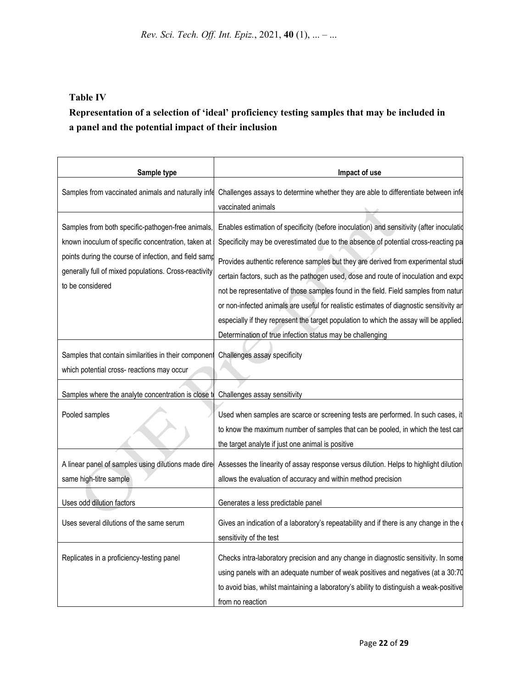### **Table IV**

# **Representation of a selection of 'ideal' proficiency testing samples that may be included in a panel and the potential impact of their inclusion**

| Sample type                                                                                                                                                                                                                                   | Impact of use                                                                                                                                                                                                                                                                                                                                                                                                                                                                                                                                                                                                                                                                                      |  |
|-----------------------------------------------------------------------------------------------------------------------------------------------------------------------------------------------------------------------------------------------|----------------------------------------------------------------------------------------------------------------------------------------------------------------------------------------------------------------------------------------------------------------------------------------------------------------------------------------------------------------------------------------------------------------------------------------------------------------------------------------------------------------------------------------------------------------------------------------------------------------------------------------------------------------------------------------------------|--|
| Samples from vaccinated animals and naturally infe                                                                                                                                                                                            | Challenges assays to determine whether they are able to differentiate between infe<br>vaccinated animals                                                                                                                                                                                                                                                                                                                                                                                                                                                                                                                                                                                           |  |
| Samples from both specific-pathogen-free animals,<br>known inoculum of specific concentration, taken at<br>points during the course of infection, and field samp<br>generally full of mixed populations. Cross-reactivity<br>to be considered | Enables estimation of specificity (before inoculation) and sensitivity (after inoculatid<br>Specificity may be overestimated due to the absence of potential cross-reacting pa<br>Provides authentic reference samples but they are derived from experimental studi<br>certain factors, such as the pathogen used, dose and route of inoculation and expo<br>not be representative of those samples found in the field. Field samples from natur<br>or non-infected animals are useful for realistic estimates of diagnostic sensitivity an<br>especially if they represent the target population to which the assay will be applied.<br>Determination of true infection status may be challenging |  |
| Samples that contain similarities in their component<br>which potential cross- reactions may occur<br>Samples where the analyte concentration is close t                                                                                      | Challenges assay specificity<br>Challenges assay sensitivity                                                                                                                                                                                                                                                                                                                                                                                                                                                                                                                                                                                                                                       |  |
| Pooled samples                                                                                                                                                                                                                                | Used when samples are scarce or screening tests are performed. In such cases, it<br>to know the maximum number of samples that can be pooled, in which the test can<br>the target analyte if just one animal is positive                                                                                                                                                                                                                                                                                                                                                                                                                                                                           |  |
| A linear panel of samples using dilutions made dire<br>same high-titre sample                                                                                                                                                                 | Assesses the linearity of assay response versus dilution. Helps to highlight dilution<br>allows the evaluation of accuracy and within method precision                                                                                                                                                                                                                                                                                                                                                                                                                                                                                                                                             |  |
| Uses odd dilution factors                                                                                                                                                                                                                     | Generates a less predictable panel                                                                                                                                                                                                                                                                                                                                                                                                                                                                                                                                                                                                                                                                 |  |
| Uses several dilutions of the same serum                                                                                                                                                                                                      | Gives an indication of a laboratory's repeatability and if there is any change in the<br>sensitivity of the test                                                                                                                                                                                                                                                                                                                                                                                                                                                                                                                                                                                   |  |
| Replicates in a proficiency-testing panel                                                                                                                                                                                                     | Checks intra-laboratory precision and any change in diagnostic sensitivity. In some<br>using panels with an adequate number of weak positives and negatives (at a 30:70<br>to avoid bias, whilst maintaining a laboratory's ability to distinguish a weak-positive<br>from no reaction                                                                                                                                                                                                                                                                                                                                                                                                             |  |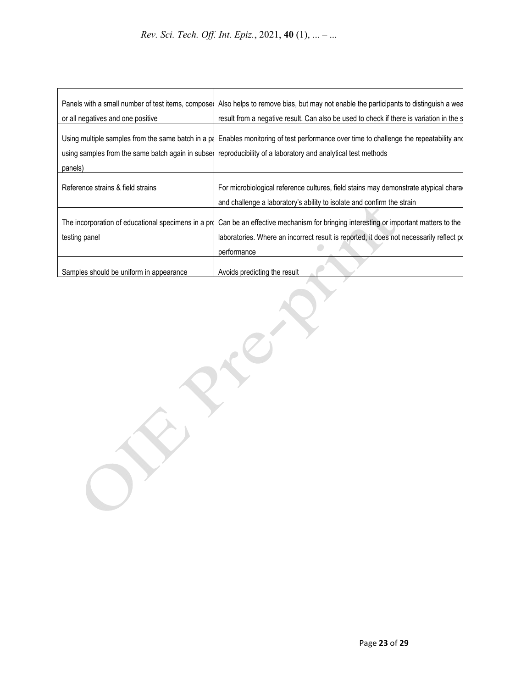| Panels with a small number of test items, compose    | Also helps to remove bias, but may not enable the participants to distinguish a wed     |  |
|------------------------------------------------------|-----------------------------------------------------------------------------------------|--|
| or all negatives and one positive                    | result from a negative result. Can also be used to check if there is variation in the s |  |
| Using multiple samples from the same batch in a pa   | Enables monitoring of test performance over time to challenge the repeatability and     |  |
| using samples from the same batch again in subset    | reproducibility of a laboratory and analytical test methods                             |  |
| panels)                                              |                                                                                         |  |
| Reference strains & field strains                    | For microbiological reference cultures, field stains may demonstrate atypical chara     |  |
|                                                      | and challenge a laboratory's ability to isolate and confirm the strain                  |  |
| The incorporation of educational specimens in a pro- | Can be an effective mechanism for bringing interesting or important matters to the      |  |
| testing panel                                        | laboratories. Where an incorrect result is reported, it does not necessarily reflect po |  |
|                                                      | performance                                                                             |  |
| Samples should be uniform in appearance              | Avoids predicting the result                                                            |  |

A

 $\sum_{i=1}^{n}$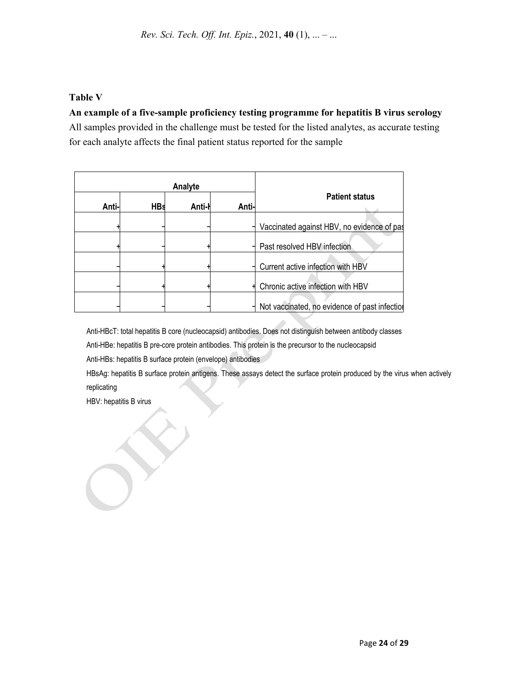#### **Table V**

#### **An example of a five-sample proficiency testing programme for hepatitis B virus serology**

All samples provided in the challenge must be tested for the listed analytes, as accurate testing for each analyte affects the final patient status reported for the sample

|       | Analyte    |        |       |                                               |  |
|-------|------------|--------|-------|-----------------------------------------------|--|
| Anti- | <b>HBs</b> | Anti-l | Anti- | <b>Patient status</b>                         |  |
|       |            |        |       | Vaccinated against HBV, no evidence of pas    |  |
|       |            |        |       | Past resolved HBV infection                   |  |
|       |            |        |       | Current active infection with HBV             |  |
|       |            |        |       | Chronic active infection with HBV             |  |
|       |            |        |       | Not vaccinated, no evidence of past infection |  |

Anti-HBcT: total hepatitis B core (nucleocapsid) antibodies. Does not distinguish between antibody classes Anti-HBe: hepatitis B pre-core protein antibodies. This protein is the precursor to the nucleocapsid

Anti-HBs: hepatitis B surface protein (envelope) antibodies

HBsAg: hepatitis B surface protein antigens. These assays detect the surface protein produced by the virus when actively replicating

HBV: hepatitis B virus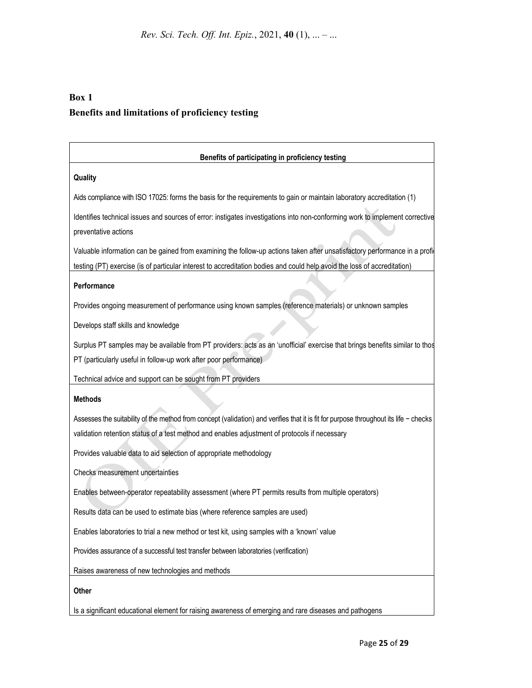# **Box 1 Benefits and limitations of proficiency testing**

| Benefits of participating in proficiency testing                                                                                      |  |  |
|---------------------------------------------------------------------------------------------------------------------------------------|--|--|
| Quality                                                                                                                               |  |  |
| Aids compliance with ISO 17025: forms the basis for the requirements to gain or maintain laboratory accreditation (1)                 |  |  |
| Identifies technical issues and sources of error: instigates investigations into non-conforming work to implement corrective          |  |  |
| preventative actions                                                                                                                  |  |  |
| Valuable information can be gained from examining the follow-up actions taken after unsatisfactory performance in a profi             |  |  |
| testing (PT) exercise (is of particular interest to accreditation bodies and could help avoid the loss of accreditation)              |  |  |
| Performance                                                                                                                           |  |  |
| Provides ongoing measurement of performance using known samples (reference materials) or unknown samples                              |  |  |
| Develops staff skills and knowledge                                                                                                   |  |  |
| Surplus PT samples may be available from PT providers: acts as an 'unofficial' exercise that brings benefits similar to thos          |  |  |
| PT (particularly useful in follow-up work after poor performance)                                                                     |  |  |
| Technical advice and support can be sought from PT providers                                                                          |  |  |
| <b>Methods</b>                                                                                                                        |  |  |
| Assesses the suitability of the method from concept (validation) and verifies that it is fit for purpose throughout its life - checks |  |  |
| validation retention status of a test method and enables adjustment of protocols if necessary                                         |  |  |
| Provides valuable data to aid selection of appropriate methodology                                                                    |  |  |
| Checks measurement uncertainties                                                                                                      |  |  |
| Enables between-operator repeatability assessment (where PT permits results from multiple operators)                                  |  |  |
| Results data can be used to estimate bias (where reference samples are used)                                                          |  |  |
| Enables laboratories to trial a new method or test kit, using samples with a 'known' value                                            |  |  |
| Provides assurance of a successful test transfer between laboratories (verification)                                                  |  |  |
| Raises awareness of new technologies and methods                                                                                      |  |  |
| Other                                                                                                                                 |  |  |
| Is a significant educational element for raising awareness of emerging and rare diseases and pathogens                                |  |  |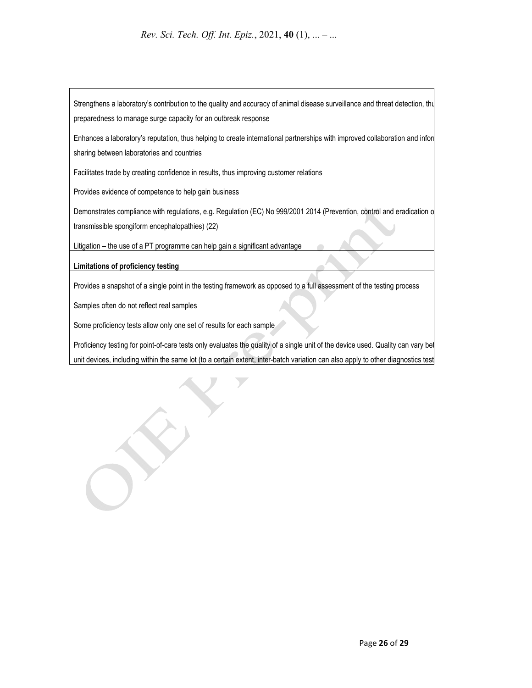Strengthens a laboratory's contribution to the quality and accuracy of animal disease surveillance and threat detection, thu preparedness to manage surge capacity for an outbreak response

Enhances a laboratory's reputation, thus helping to create international partnerships with improved collaboration and infor sharing between laboratories and countries

Facilitates trade by creating confidence in results, thus improving customer relations

Provides evidence of competence to help gain business

Demonstrates compliance with regulations, e.g. Regulation (EC) No 999/2001 2014 (Prevention, control and eradication o transmissible spongiform encephalopathies) (22)

Litigation – the use of a PT programme can help gain a significant advantage

**Limitations of proficiency testing**

Provides a snapshot of a single point in the testing framework as opposed to a full assessment of the testing process

Samples often do not reflect real samples

Some proficiency tests allow only one set of results for each sample

Proficiency testing for point-of-care tests only evaluates the quality of a single unit of the device used. Quality can vary bet unit devices, including within the same lot (to a certain extent, inter-batch variation can also apply to other diagnostics test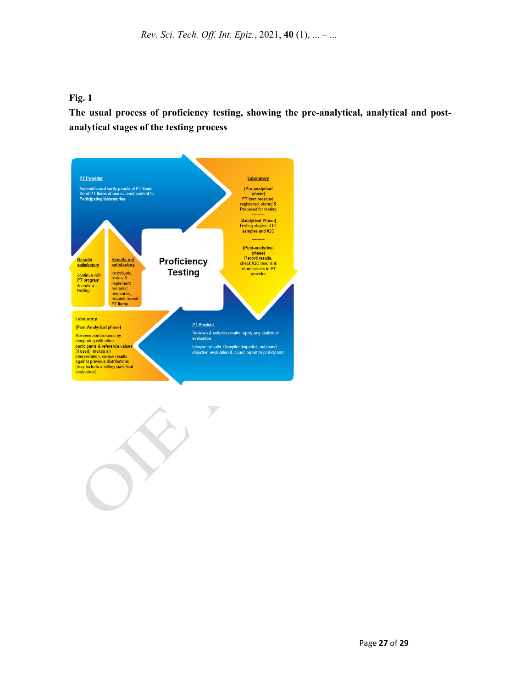#### **Fig. 1**

**The usual process of proficiency testing, showing the pre-analytical, analytical and postanalytical stages of the testing process** 



 $\overline{y}$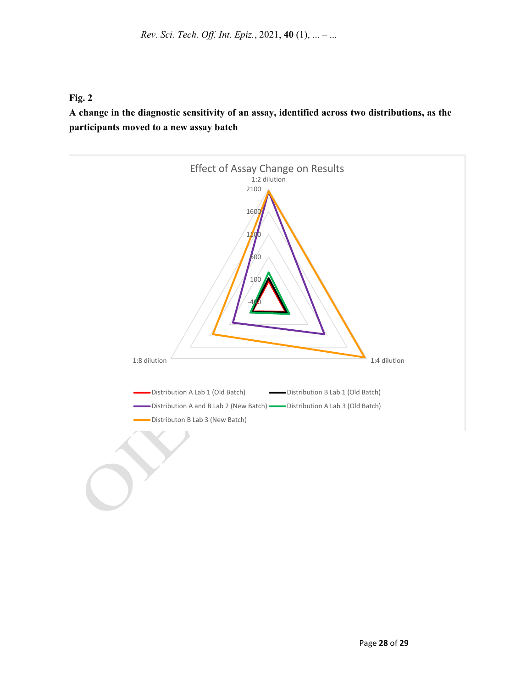#### **Fig. 2**

**A change in the diagnostic sensitivity of an assay, identified across two distributions, as the participants moved to a new assay batch**